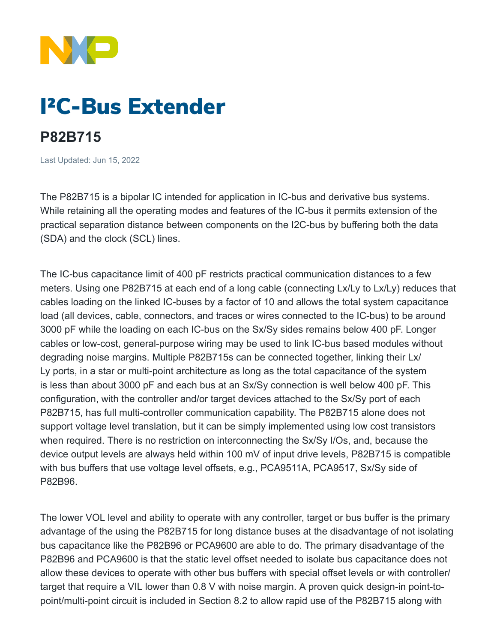

# I²C-Bus Extender

## **P82B715**

Last Updated: Jun 15, 2022

The P82B715 is a bipolar IC intended for application in IC-bus and derivative bus systems. While retaining all the operating modes and features of the IC-bus it permits extension of the practical separation distance between components on the I2C-bus by buffering both the data (SDA) and the clock (SCL) lines.

The IC-bus capacitance limit of 400 pF restricts practical communication distances to a few meters. Using one P82B715 at each end of a long cable (connecting Lx/Ly to Lx/Ly) reduces that cables loading on the linked IC-buses by a factor of 10 and allows the total system capacitance load (all devices, cable, connectors, and traces or wires connected to the IC-bus) to be around 3000 pF while the loading on each IC-bus on the Sx/Sy sides remains below 400 pF. Longer cables or low-cost, general-purpose wiring may be used to link IC-bus based modules without degrading noise margins. Multiple P82B715s can be connected together, linking their Lx/ Ly ports, in a star or multi-point architecture as long as the total capacitance of the system is less than about 3000 pF and each bus at an Sx/Sy connection is well below 400 pF. This configuration, with the controller and/or target devices attached to the Sx/Sy port of each P82B715, has full multi-controller communication capability. The P82B715 alone does not support voltage level translation, but it can be simply implemented using low cost transistors when required. There is no restriction on interconnecting the Sx/Sy I/Os, and, because the device output levels are always held within 100 mV of input drive levels, P82B715 is compatible with bus buffers that use voltage level offsets, e.g., PCA9511A, PCA9517, Sx/Sy side of P82B96.

The lower VOL level and ability to operate with any controller, target or bus buffer is the primary advantage of the using the P82B715 for long distance buses at the disadvantage of not isolating bus capacitance like the P82B96 or PCA9600 are able to do. The primary disadvantage of the P82B96 and PCA9600 is that the static level offset needed to isolate bus capacitance does not allow these devices to operate with other bus buffers with special offset levels or with controller/ target that require a VIL lower than 0.8 V with noise margin. A proven quick design-in point-topoint/multi-point circuit is included in Section 8.2 to allow rapid use of the P82B715 along with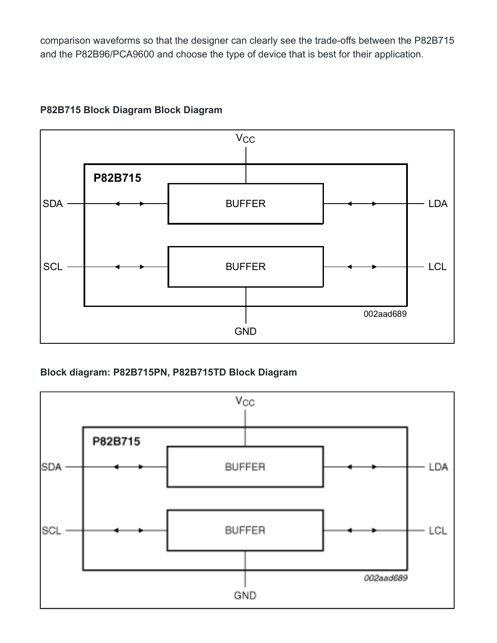comparison waveforms so that the designer can clearly see the trade-offs between the P82B715 and the P82B96/PCA9600 and choose the type of device that is best for their application.

## **P82B715 Block Diagram Block Diagram**



**Block diagram: P82B715PN, P82B715TD Block Diagram**